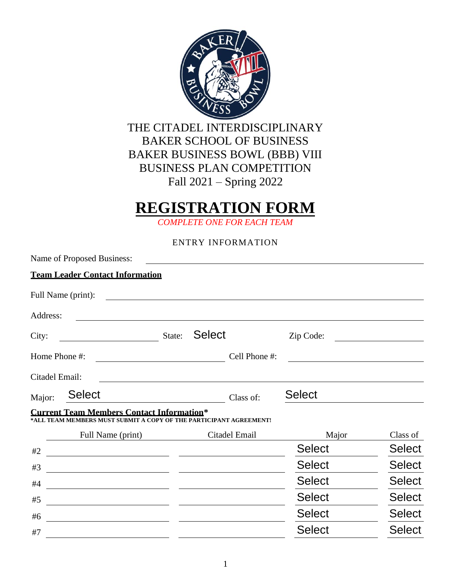

## **REGISTRATION FORM**

*COMPLETE ONE FOR EACH TEAM*

ENTRY INFORMATION

|                | Name of Proposed Business:                                                                                             |        |               |               |               |
|----------------|------------------------------------------------------------------------------------------------------------------------|--------|---------------|---------------|---------------|
|                | <b>Team Leader Contact Information</b>                                                                                 |        |               |               |               |
|                | Full Name (print):                                                                                                     |        |               |               |               |
| Address:       |                                                                                                                        |        |               |               |               |
| City:          |                                                                                                                        | State: | <b>Select</b> | Zip Code:     |               |
| Home Phone #:  |                                                                                                                        |        | Cell Phone #: |               |               |
| Citadel Email: |                                                                                                                        |        |               |               |               |
| Major:         | <b>Select</b>                                                                                                          |        | Class of:     | <b>Select</b> |               |
|                | <b>Current Team Members Contact Information*</b><br>*ALL TEAM MEMBERS MUST SUBMIT A COPY OF THE PARTICIPANT AGREEMENT! |        |               |               |               |
|                | Full Name (print)                                                                                                      |        | Citadel Email | Major         | Class of      |
| #2             | <u> 1980 - Andrea Station Barbara, politik eta provincia eta provincia eta provincia eta provincia eta provincia</u>   |        |               | <b>Select</b> | <b>Select</b> |
| #3             |                                                                                                                        |        |               | <b>Select</b> | <b>Select</b> |
| #4             | <u> 1989 - Johann Stoff, amerikansk politiker (* 1908)</u>                                                             |        |               | <b>Select</b> | <b>Select</b> |
| #5             |                                                                                                                        |        |               | <b>Select</b> | <b>Select</b> |
| #6             |                                                                                                                        |        |               | <b>Select</b> | <b>Select</b> |
| #7             |                                                                                                                        |        |               | <b>Select</b> | <b>Select</b> |